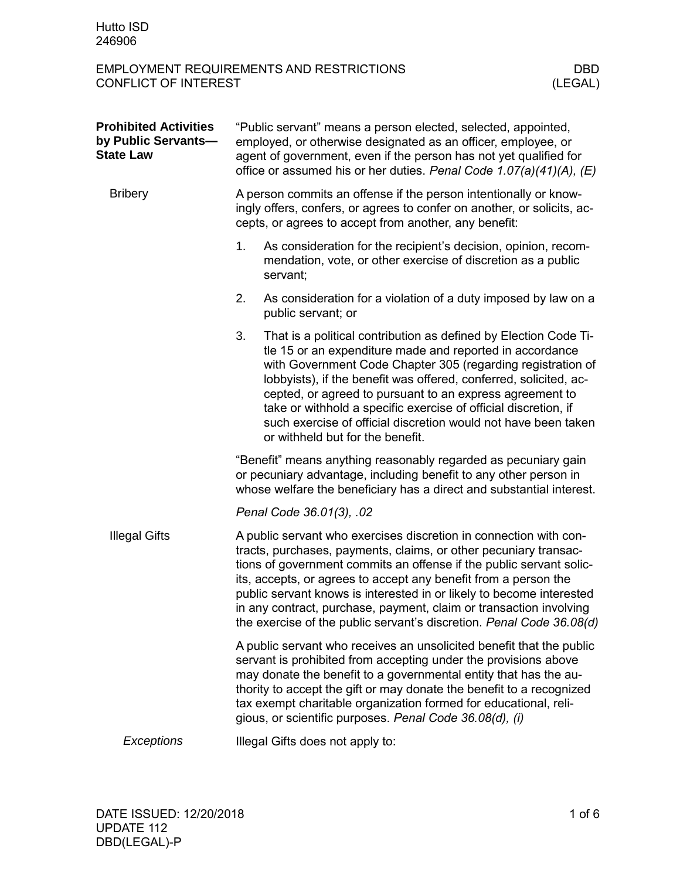| <b>Prohibited Activities</b><br>by Public Servants-<br><b>State Law</b> | "Public servant" means a person elected, selected, appointed,<br>employed, or otherwise designated as an officer, employee, or<br>agent of government, even if the person has not yet qualified for<br>office or assumed his or her duties. Penal Code 1.07(a)(41)(A), (E)                                                                                                                                                                                                                            |                                                                                                                                                                                                                                                                                                                                                                                                                                                                                                       |  |  |
|-------------------------------------------------------------------------|-------------------------------------------------------------------------------------------------------------------------------------------------------------------------------------------------------------------------------------------------------------------------------------------------------------------------------------------------------------------------------------------------------------------------------------------------------------------------------------------------------|-------------------------------------------------------------------------------------------------------------------------------------------------------------------------------------------------------------------------------------------------------------------------------------------------------------------------------------------------------------------------------------------------------------------------------------------------------------------------------------------------------|--|--|
| <b>Bribery</b>                                                          | A person commits an offense if the person intentionally or know-<br>ingly offers, confers, or agrees to confer on another, or solicits, ac-<br>cepts, or agrees to accept from another, any benefit:                                                                                                                                                                                                                                                                                                  |                                                                                                                                                                                                                                                                                                                                                                                                                                                                                                       |  |  |
|                                                                         | 1.                                                                                                                                                                                                                                                                                                                                                                                                                                                                                                    | As consideration for the recipient's decision, opinion, recom-<br>mendation, vote, or other exercise of discretion as a public<br>servant;                                                                                                                                                                                                                                                                                                                                                            |  |  |
|                                                                         | 2.                                                                                                                                                                                                                                                                                                                                                                                                                                                                                                    | As consideration for a violation of a duty imposed by law on a<br>public servant; or                                                                                                                                                                                                                                                                                                                                                                                                                  |  |  |
|                                                                         | 3.                                                                                                                                                                                                                                                                                                                                                                                                                                                                                                    | That is a political contribution as defined by Election Code Ti-<br>tle 15 or an expenditure made and reported in accordance<br>with Government Code Chapter 305 (regarding registration of<br>lobbyists), if the benefit was offered, conferred, solicited, ac-<br>cepted, or agreed to pursuant to an express agreement to<br>take or withhold a specific exercise of official discretion, if<br>such exercise of official discretion would not have been taken<br>or withheld but for the benefit. |  |  |
|                                                                         |                                                                                                                                                                                                                                                                                                                                                                                                                                                                                                       | "Benefit" means anything reasonably regarded as pecuniary gain<br>or pecuniary advantage, including benefit to any other person in<br>whose welfare the beneficiary has a direct and substantial interest.                                                                                                                                                                                                                                                                                            |  |  |
|                                                                         |                                                                                                                                                                                                                                                                                                                                                                                                                                                                                                       | Penal Code 36.01(3), .02                                                                                                                                                                                                                                                                                                                                                                                                                                                                              |  |  |
| <b>Illegal Gifts</b>                                                    | A public servant who exercises discretion in connection with con-<br>tracts, purchases, payments, claims, or other pecuniary transac-<br>tions of government commits an offense if the public servant solic-<br>its, accepts, or agrees to accept any benefit from a person the<br>public servant knows is interested in or likely to become interested<br>in any contract, purchase, payment, claim or transaction involving<br>the exercise of the public servant's discretion. Penal Code 36.08(d) |                                                                                                                                                                                                                                                                                                                                                                                                                                                                                                       |  |  |
|                                                                         |                                                                                                                                                                                                                                                                                                                                                                                                                                                                                                       | A public servant who receives an unsolicited benefit that the public<br>servant is prohibited from accepting under the provisions above<br>may donate the benefit to a governmental entity that has the au-<br>thority to accept the gift or may donate the benefit to a recognized<br>tax exempt charitable organization formed for educational, reli-<br>gious, or scientific purposes. Penal Code 36.08(d), (i)                                                                                    |  |  |
| Exceptions                                                              | Illegal Gifts does not apply to:                                                                                                                                                                                                                                                                                                                                                                                                                                                                      |                                                                                                                                                                                                                                                                                                                                                                                                                                                                                                       |  |  |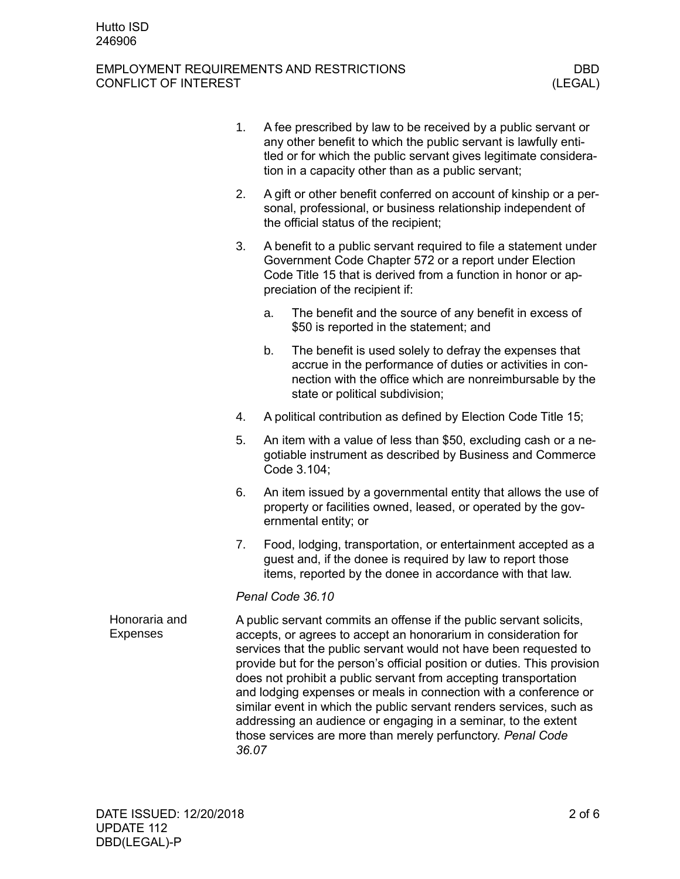|                                  | 1. | A fee prescribed by law to be received by a public servant or<br>any other benefit to which the public servant is lawfully enti-<br>tled or for which the public servant gives legitimate considera-<br>tion in a capacity other than as a public servant;                                                                                                                                                                                                                                                                                                                                                                                       |                                                                                                                                                                                                                                |  |  |
|----------------------------------|----|--------------------------------------------------------------------------------------------------------------------------------------------------------------------------------------------------------------------------------------------------------------------------------------------------------------------------------------------------------------------------------------------------------------------------------------------------------------------------------------------------------------------------------------------------------------------------------------------------------------------------------------------------|--------------------------------------------------------------------------------------------------------------------------------------------------------------------------------------------------------------------------------|--|--|
|                                  | 2. | A gift or other benefit conferred on account of kinship or a per-<br>sonal, professional, or business relationship independent of<br>the official status of the recipient;                                                                                                                                                                                                                                                                                                                                                                                                                                                                       |                                                                                                                                                                                                                                |  |  |
|                                  | 3. |                                                                                                                                                                                                                                                                                                                                                                                                                                                                                                                                                                                                                                                  | A benefit to a public servant required to file a statement under<br>Government Code Chapter 572 or a report under Election<br>Code Title 15 that is derived from a function in honor or ap-<br>preciation of the recipient if: |  |  |
|                                  |    | a.                                                                                                                                                                                                                                                                                                                                                                                                                                                                                                                                                                                                                                               | The benefit and the source of any benefit in excess of<br>\$50 is reported in the statement; and                                                                                                                               |  |  |
|                                  |    | b.                                                                                                                                                                                                                                                                                                                                                                                                                                                                                                                                                                                                                                               | The benefit is used solely to defray the expenses that<br>accrue in the performance of duties or activities in con-<br>nection with the office which are nonreimbursable by the<br>state or political subdivision;             |  |  |
|                                  | 4. |                                                                                                                                                                                                                                                                                                                                                                                                                                                                                                                                                                                                                                                  | A political contribution as defined by Election Code Title 15;                                                                                                                                                                 |  |  |
|                                  | 5. |                                                                                                                                                                                                                                                                                                                                                                                                                                                                                                                                                                                                                                                  | An item with a value of less than \$50, excluding cash or a ne-<br>gotiable instrument as described by Business and Commerce<br>Code 3.104;                                                                                    |  |  |
|                                  | 6. |                                                                                                                                                                                                                                                                                                                                                                                                                                                                                                                                                                                                                                                  | An item issued by a governmental entity that allows the use of<br>property or facilities owned, leased, or operated by the gov-<br>ernmental entity; or                                                                        |  |  |
|                                  | 7. |                                                                                                                                                                                                                                                                                                                                                                                                                                                                                                                                                                                                                                                  | Food, lodging, transportation, or entertainment accepted as a<br>guest and, if the donee is required by law to report those<br>items, reported by the donee in accordance with that law.                                       |  |  |
|                                  |    |                                                                                                                                                                                                                                                                                                                                                                                                                                                                                                                                                                                                                                                  | Penal Code 36.10                                                                                                                                                                                                               |  |  |
| Honoraria and<br><b>Expenses</b> |    | A public servant commits an offense if the public servant solicits,<br>accepts, or agrees to accept an honorarium in consideration for<br>services that the public servant would not have been requested to<br>provide but for the person's official position or duties. This provision<br>does not prohibit a public servant from accepting transportation<br>and lodging expenses or meals in connection with a conference or<br>similar event in which the public servant renders services, such as<br>addressing an audience or engaging in a seminar, to the extent<br>those services are more than merely perfunctory. Penal Code<br>36.07 |                                                                                                                                                                                                                                |  |  |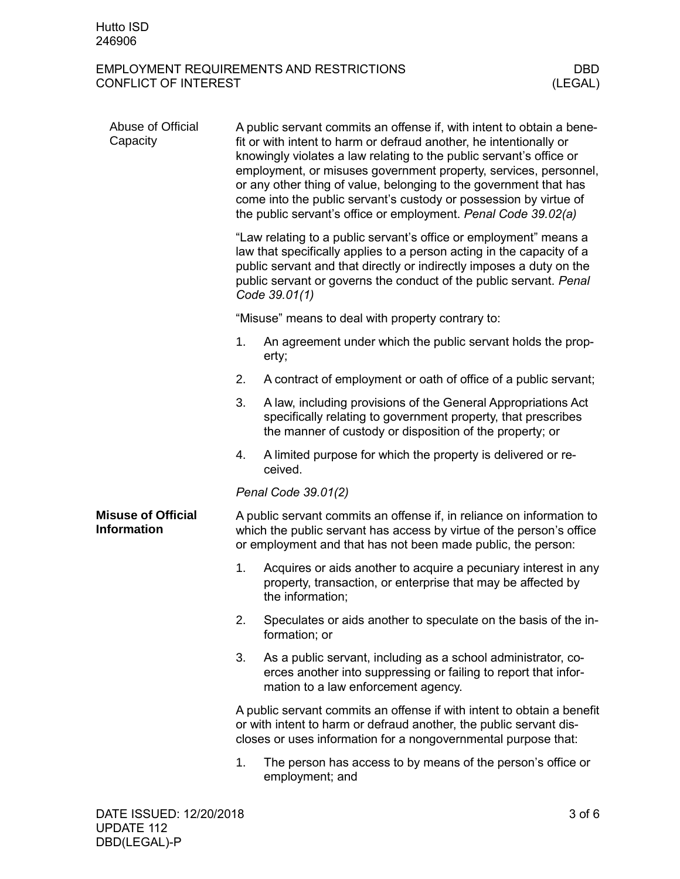| Abuse of Official<br>Capacity            | A public servant commits an offense if, with intent to obtain a bene-<br>fit or with intent to harm or defraud another, he intentionally or<br>knowingly violates a law relating to the public servant's office or<br>employment, or misuses government property, services, personnel,<br>or any other thing of value, belonging to the government that has<br>come into the public servant's custody or possession by virtue of<br>the public servant's office or employment. Penal Code 39.02(a) |                                                                                                                                                                                                               |  |  |  |
|------------------------------------------|----------------------------------------------------------------------------------------------------------------------------------------------------------------------------------------------------------------------------------------------------------------------------------------------------------------------------------------------------------------------------------------------------------------------------------------------------------------------------------------------------|---------------------------------------------------------------------------------------------------------------------------------------------------------------------------------------------------------------|--|--|--|
|                                          | "Law relating to a public servant's office or employment" means a<br>law that specifically applies to a person acting in the capacity of a<br>public servant and that directly or indirectly imposes a duty on the<br>public servant or governs the conduct of the public servant. Penal<br>Code 39.01(1)                                                                                                                                                                                          |                                                                                                                                                                                                               |  |  |  |
|                                          |                                                                                                                                                                                                                                                                                                                                                                                                                                                                                                    | "Misuse" means to deal with property contrary to:                                                                                                                                                             |  |  |  |
|                                          | 1.                                                                                                                                                                                                                                                                                                                                                                                                                                                                                                 | An agreement under which the public servant holds the prop-<br>erty;                                                                                                                                          |  |  |  |
|                                          | 2.                                                                                                                                                                                                                                                                                                                                                                                                                                                                                                 | A contract of employment or oath of office of a public servant;                                                                                                                                               |  |  |  |
|                                          | 3.                                                                                                                                                                                                                                                                                                                                                                                                                                                                                                 | A law, including provisions of the General Appropriations Act<br>specifically relating to government property, that prescribes<br>the manner of custody or disposition of the property; or                    |  |  |  |
|                                          | 4.                                                                                                                                                                                                                                                                                                                                                                                                                                                                                                 | A limited purpose for which the property is delivered or re-<br>ceived.                                                                                                                                       |  |  |  |
|                                          |                                                                                                                                                                                                                                                                                                                                                                                                                                                                                                    | Penal Code 39.01(2)                                                                                                                                                                                           |  |  |  |
| <b>Misuse of Official</b><br>Information |                                                                                                                                                                                                                                                                                                                                                                                                                                                                                                    | A public servant commits an offense if, in reliance on information to<br>which the public servant has access by virtue of the person's office<br>or employment and that has not been made public, the person: |  |  |  |
|                                          | 1.                                                                                                                                                                                                                                                                                                                                                                                                                                                                                                 | Acquires or aids another to acquire a pecuniary interest in any<br>property, transaction, or enterprise that may be affected by<br>the information;                                                           |  |  |  |
|                                          | 2.                                                                                                                                                                                                                                                                                                                                                                                                                                                                                                 | Speculates or aids another to speculate on the basis of the in-<br>formation; or                                                                                                                              |  |  |  |
|                                          | 3.                                                                                                                                                                                                                                                                                                                                                                                                                                                                                                 | As a public servant, including as a school administrator, co-<br>erces another into suppressing or failing to report that infor-<br>mation to a law enforcement agency.                                       |  |  |  |
|                                          | A public servant commits an offense if with intent to obtain a benefit<br>or with intent to harm or defraud another, the public servant dis-<br>closes or uses information for a nongovernmental purpose that:                                                                                                                                                                                                                                                                                     |                                                                                                                                                                                                               |  |  |  |
|                                          | 1.                                                                                                                                                                                                                                                                                                                                                                                                                                                                                                 | The person has access to by means of the person's office or<br>employment; and                                                                                                                                |  |  |  |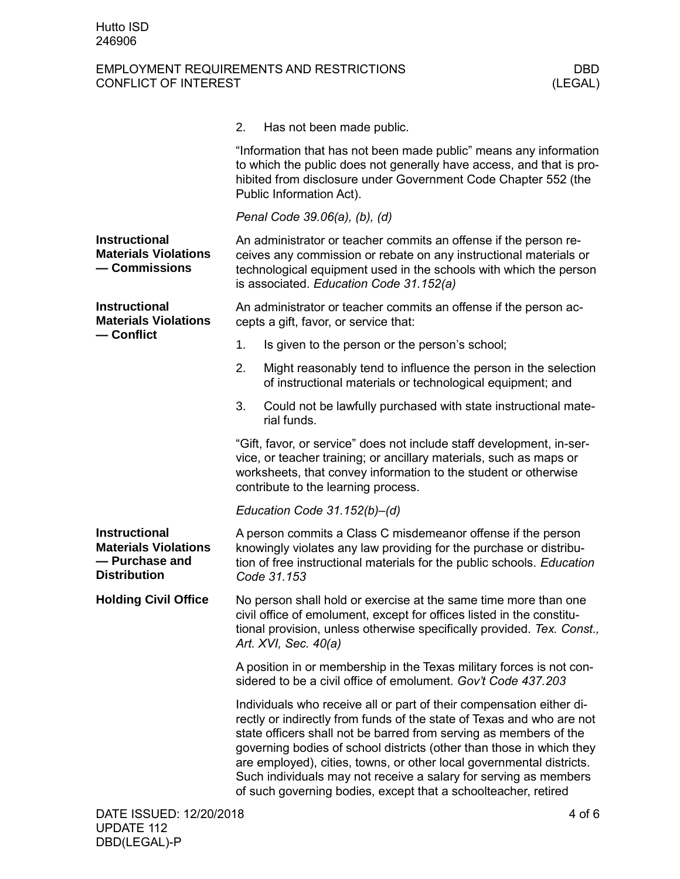|                                                                                              | 2.<br>Has not been made public.                                                                                                                                                                                                                                                                                                                                                                                                                                                                          |  |  |  |
|----------------------------------------------------------------------------------------------|----------------------------------------------------------------------------------------------------------------------------------------------------------------------------------------------------------------------------------------------------------------------------------------------------------------------------------------------------------------------------------------------------------------------------------------------------------------------------------------------------------|--|--|--|
|                                                                                              | "Information that has not been made public" means any information<br>to which the public does not generally have access, and that is pro-<br>hibited from disclosure under Government Code Chapter 552 (the<br>Public Information Act).                                                                                                                                                                                                                                                                  |  |  |  |
|                                                                                              | Penal Code 39.06(a), (b), (d)                                                                                                                                                                                                                                                                                                                                                                                                                                                                            |  |  |  |
| <b>Instructional</b><br><b>Materials Violations</b><br>- Commissions                         | An administrator or teacher commits an offense if the person re-<br>ceives any commission or rebate on any instructional materials or<br>technological equipment used in the schools with which the person<br>is associated. Education Code 31.152(a)                                                                                                                                                                                                                                                    |  |  |  |
| <b>Instructional</b><br><b>Materials Violations</b>                                          | An administrator or teacher commits an offense if the person ac-<br>cepts a gift, favor, or service that:                                                                                                                                                                                                                                                                                                                                                                                                |  |  |  |
| — Conflict                                                                                   | 1.<br>Is given to the person or the person's school;                                                                                                                                                                                                                                                                                                                                                                                                                                                     |  |  |  |
|                                                                                              | Might reasonably tend to influence the person in the selection<br>2.<br>of instructional materials or technological equipment; and                                                                                                                                                                                                                                                                                                                                                                       |  |  |  |
|                                                                                              | 3.<br>Could not be lawfully purchased with state instructional mate-<br>rial funds.                                                                                                                                                                                                                                                                                                                                                                                                                      |  |  |  |
|                                                                                              | "Gift, favor, or service" does not include staff development, in-ser-<br>vice, or teacher training; or ancillary materials, such as maps or<br>worksheets, that convey information to the student or otherwise<br>contribute to the learning process.                                                                                                                                                                                                                                                    |  |  |  |
|                                                                                              | Education Code $31.152(b) - (d)$                                                                                                                                                                                                                                                                                                                                                                                                                                                                         |  |  |  |
| <b>Instructional</b><br><b>Materials Violations</b><br>- Purchase and<br><b>Distribution</b> | A person commits a Class C misdemeanor offense if the person<br>knowingly violates any law providing for the purchase or distribu-<br>tion of free instructional materials for the public schools. Education<br>Code 31.153                                                                                                                                                                                                                                                                              |  |  |  |
| <b>Holding Civil Office</b>                                                                  | No person shall hold or exercise at the same time more than one<br>civil office of emolument, except for offices listed in the constitu-<br>tional provision, unless otherwise specifically provided. Tex. Const.,<br>Art. XVI, Sec. 40(a)                                                                                                                                                                                                                                                               |  |  |  |
|                                                                                              | A position in or membership in the Texas military forces is not con-<br>sidered to be a civil office of emolument. Gov't Code 437.203                                                                                                                                                                                                                                                                                                                                                                    |  |  |  |
|                                                                                              | Individuals who receive all or part of their compensation either di-<br>rectly or indirectly from funds of the state of Texas and who are not<br>state officers shall not be barred from serving as members of the<br>governing bodies of school districts (other than those in which they<br>are employed), cities, towns, or other local governmental districts.<br>Such individuals may not receive a salary for serving as members<br>of such governing bodies, except that a schoolteacher, retired |  |  |  |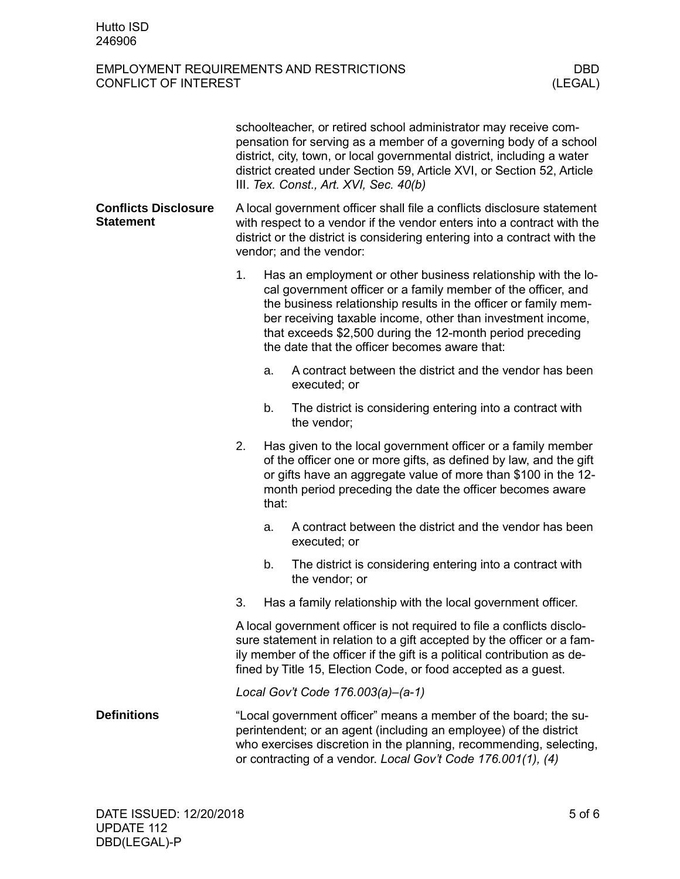|                                                 | schoolteacher, or retired school administrator may receive com-<br>pensation for serving as a member of a governing body of a school<br>district, city, town, or local governmental district, including a water<br>district created under Section 59, Article XVI, or Section 52, Article<br>III. Tex. Const., Art. XVI, Sec. 40(b) |                                                                                                                                                                                                                                                                           |                                                                                                                                                                                                                                                                                                                                                                                |  |
|-------------------------------------------------|-------------------------------------------------------------------------------------------------------------------------------------------------------------------------------------------------------------------------------------------------------------------------------------------------------------------------------------|---------------------------------------------------------------------------------------------------------------------------------------------------------------------------------------------------------------------------------------------------------------------------|--------------------------------------------------------------------------------------------------------------------------------------------------------------------------------------------------------------------------------------------------------------------------------------------------------------------------------------------------------------------------------|--|
| <b>Conflicts Disclosure</b><br><b>Statement</b> | A local government officer shall file a conflicts disclosure statement<br>with respect to a vendor if the vendor enters into a contract with the<br>district or the district is considering entering into a contract with the<br>vendor; and the vendor:                                                                            |                                                                                                                                                                                                                                                                           |                                                                                                                                                                                                                                                                                                                                                                                |  |
|                                                 | 1.                                                                                                                                                                                                                                                                                                                                  |                                                                                                                                                                                                                                                                           | Has an employment or other business relationship with the lo-<br>cal government officer or a family member of the officer, and<br>the business relationship results in the officer or family mem-<br>ber receiving taxable income, other than investment income,<br>that exceeds \$2,500 during the 12-month period preceding<br>the date that the officer becomes aware that: |  |
|                                                 |                                                                                                                                                                                                                                                                                                                                     | a.                                                                                                                                                                                                                                                                        | A contract between the district and the vendor has been<br>executed; or                                                                                                                                                                                                                                                                                                        |  |
|                                                 |                                                                                                                                                                                                                                                                                                                                     | b.                                                                                                                                                                                                                                                                        | The district is considering entering into a contract with<br>the vendor:                                                                                                                                                                                                                                                                                                       |  |
|                                                 | 2.                                                                                                                                                                                                                                                                                                                                  | Has given to the local government officer or a family member<br>of the officer one or more gifts, as defined by law, and the gift<br>or gifts have an aggregate value of more than \$100 in the 12-<br>month period preceding the date the officer becomes aware<br>that: |                                                                                                                                                                                                                                                                                                                                                                                |  |
|                                                 |                                                                                                                                                                                                                                                                                                                                     | a.                                                                                                                                                                                                                                                                        | A contract between the district and the vendor has been<br>executed; or                                                                                                                                                                                                                                                                                                        |  |
|                                                 |                                                                                                                                                                                                                                                                                                                                     | b.                                                                                                                                                                                                                                                                        | The district is considering entering into a contract with<br>the vendor; or                                                                                                                                                                                                                                                                                                    |  |
|                                                 | 3.                                                                                                                                                                                                                                                                                                                                  |                                                                                                                                                                                                                                                                           | Has a family relationship with the local government officer.                                                                                                                                                                                                                                                                                                                   |  |
|                                                 | A local government officer is not required to file a conflicts disclo-<br>sure statement in relation to a gift accepted by the officer or a fam-<br>ily member of the officer if the gift is a political contribution as de-<br>fined by Title 15, Election Code, or food accepted as a guest.                                      |                                                                                                                                                                                                                                                                           |                                                                                                                                                                                                                                                                                                                                                                                |  |
|                                                 |                                                                                                                                                                                                                                                                                                                                     |                                                                                                                                                                                                                                                                           | Local Gov't Code 176.003(a)-(a-1)                                                                                                                                                                                                                                                                                                                                              |  |
| <b>Definitions</b>                              | "Local government officer" means a member of the board; the su-<br>perintendent; or an agent (including an employee) of the district<br>who exercises discretion in the planning, recommending, selecting,<br>or contracting of a vendor. Local Gov't Code 176.001(1), (4)                                                          |                                                                                                                                                                                                                                                                           |                                                                                                                                                                                                                                                                                                                                                                                |  |